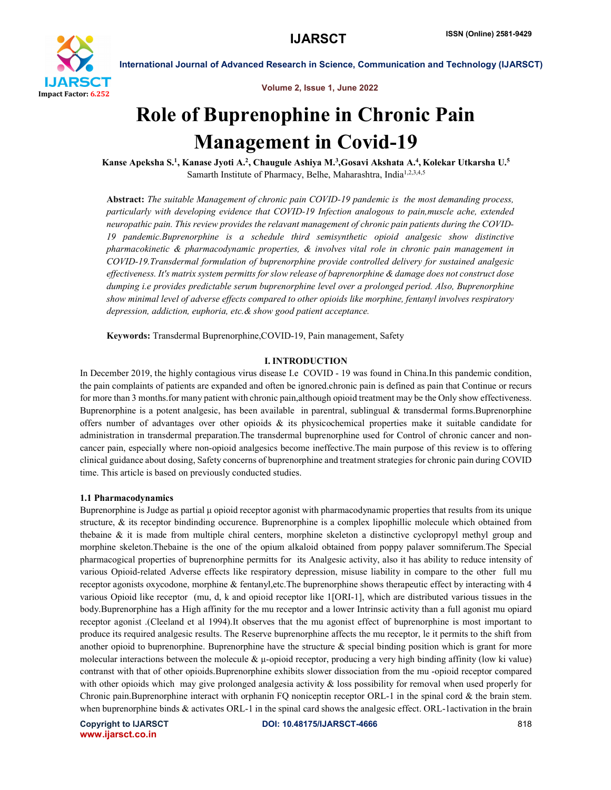

Volume 2, Issue 1, June 2022

# Role of Buprenophine in Chronic Pain Management in Covid-19

Kanse Apeksha S.<sup>1</sup>, Kanase Jyoti A.<sup>2</sup>, Chaugule Ashiya M.<sup>3</sup>,Gosavi Akshata A.<sup>4</sup>, Kolekar Utkarsha U.<sup>5</sup> Samarth Institute of Pharmacy, Belhe, Maharashtra, India<sup>1,2,3,4,5</sup>

Abstract: *The suitable Management of chronic pain COVID-19 pandemic is the most demanding process, particularly with developing evidence that COVID-19 Infection analogous to pain,muscle ache, extended neuropathic pain. This review provides the relavant management of chronic pain patients during the COVID-19 pandemic.Buprenorphine is a schedule third semisynthetic opioid analgesic show distinctive pharmacokinetic & pharmacodynamic properties, & involves vital role in chronic pain management in COVID-19.Transdermal formulation of buprenorphine provide controlled delivery for sustained analgesic effectiveness. It's matrix system permitts for slow release of baprenorphine & damage does not construct dose dumping i.e provides predictable serum buprenorphine level over a prolonged period. Also, Buprenorphine show minimal level of adverse effects compared to other opioids like morphine, fentanyl involves respiratory depression, addiction, euphoria, etc.& show good patient acceptance.*

Keywords: Transdermal Buprenorphine,COVID-19, Pain management, Safety

## I. INTRODUCTION

In December 2019, the highly contagious virus disease I.e COVID - 19 was found in China.In this pandemic condition, the pain complaints of patients are expanded and often be ignored.chronic pain is defined as pain that Continue or recurs for more than 3 months.for many patient with chronic pain,although opioid treatment may be the Only show effectiveness. Buprenorphine is a potent analgesic, has been available in parentral, sublingual & transdermal forms. Buprenorphine offers number of advantages over other opioids & its physicochemical properties make it suitable candidate for administration in transdermal preparation.The transdermal buprenorphine used for Control of chronic cancer and noncancer pain, especially where non-opioid analgesics become ineffective.The main purpose of this review is to offering clinical guidance about dosing, Safety concerns of buprenorphine and treatment strategies for chronic pain during COVID time. This article is based on previously conducted studies.

#### 1.1 Pharmacodynamics

Buprenorphine is Judge as partial μ opioid receptor agonist with pharmacodynamic properties that results from its unique structure, & its receptor bindinding occurence. Buprenorphine is a complex lipophillic molecule which obtained from thebaine & it is made from multiple chiral centers, morphine skeleton a distinctive cyclopropyl methyl group and morphine skeleton.Thebaine is the one of the opium alkaloid obtained from poppy palaver somniferum.The Special pharmacogical properties of buprenorphine permitts for its Analgesic activity, also it has ability to reduce intensity of various Opioid-related Adverse effects like respiratory depression, misuse liability in compare to the other full mu receptor agonists oxycodone, morphine & fentanyl,etc.The buprenorphine shows therapeutic effect by interacting with 4 various Opioid like receptor (mu, d, k and opioid receptor like 1[ORI-1], which are distributed various tissues in the body.Buprenorphine has a High affinity for the mu receptor and a lower Intrinsic activity than a full agonist mu opiard receptor agonist .(Cleeland et al 1994).It observes that the mu agonist effect of buprenorphine is most important to produce its required analgesic results. The Reserve buprenorphine affects the mu receptor, le it permits to the shift from another opioid to buprenorphine. Buprenorphine have the structure  $\&$  special binding position which is grant for more molecular interactions between the molecule  $\& \mu$ -opioid receptor, producing a very high binding affinity (low ki value) contranst with that of other opioids.Buprenorphine exhibits slower dissociation from the mu -opioid receptor compared with other opioids which may give prolonged analgesia activity  $\&$  loss possibility for removal when used properly for Chronic pain.Buprenorphine interact with orphanin FQ noniceptin receptor ORL-1 in the spinal cord & the brain stem. when buprenorphine binds & activates ORL-1 in the spinal card shows the analgesic effect. ORL-1activation in the brain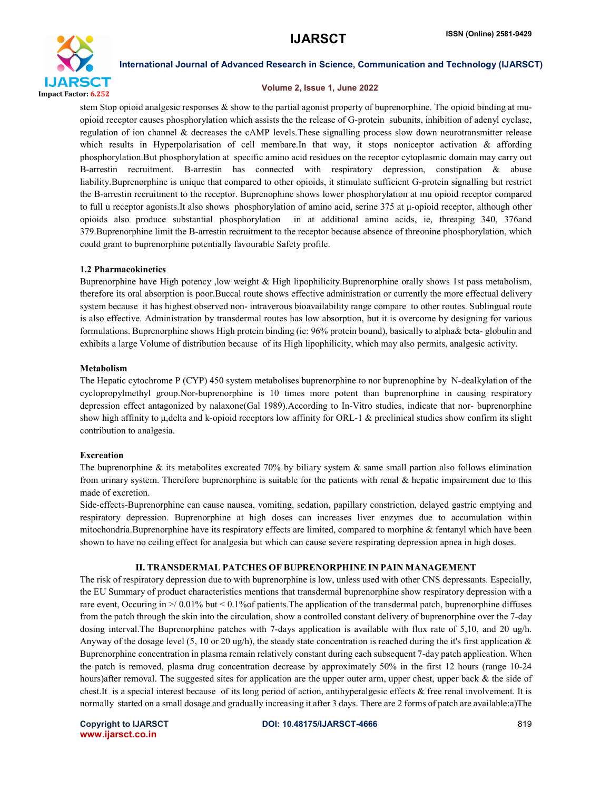

#### Volume 2, Issue 1, June 2022

stem Stop opioid analgesic responses  $\&$  show to the partial agonist property of buprenorphine. The opioid binding at muopioid receptor causes phosphorylation which assists the the release of G-protein subunits, inhibition of adenyl cyclase, regulation of ion channel & decreases the cAMP levels.These signalling process slow down neurotransmitter release which results in Hyperpolarisation of cell membare.In that way, it stops noniceptor activation & affording phosphorylation.But phosphorylation at specific amino acid residues on the receptor cytoplasmic domain may carry out B-arrestin recruitment. B-arrestin has connected with respiratory depression, constipation & abuse liability.Buprenorphine is unique that compared to other opioids, it stimulate sufficient G-protein signalling but restrict the B-arrestin recruitment to the receptor. Buprenophine shows lower phosphorylation at mu opioid receptor compared to full u receptor agonists.It also shows phosphorylation of amino acid, serine 375 at μ-opioid receptor, although other opioids also produce substantial phosphorylation in at additional amino acids, ie, threaping 340, 376and 379.Buprenorphine limit the B-arrestin recruitment to the receptor because absence of threonine phosphorylation, which could grant to buprenorphine potentially favourable Safety profile.

#### 1.2 Pharmacokinetics

Buprenorphine have High potency ,low weight & High lipophilicity.Buprenorphine orally shows 1st pass metabolism, therefore its oral absorption is poor.Buccal route shows effective administration or currently the more effectual delivery system because it has highest observed non- intraverous bioavailability range compare to other routes. Sublingual route is also effective. Administration by transdermal routes has low absorption, but it is overcome by designing for various formulations. Buprenorphine shows High protein binding (ie: 96% protein bound), basically to alpha& beta- globulin and exhibits a large Volume of distribution because of its High lipophilicity, which may also permits, analgesic activity.

#### Metabolism

The Hepatic cytochrome P (CYP) 450 system metabolises buprenorphine to nor buprenophine by N-dealkylation of the cyclopropylmethyl group.Nor-buprenorphine is 10 times more potent than buprenorphine in causing respiratory depression effect antagonized by nalaxone(Gal 1989).According to In-Vitro studies, indicate that nor- buprenorphine show high affinity to μ,delta and k-opioid receptors low affinity for ORL-1 & preclinical studies show confirm its slight contribution to analgesia.

#### Excreation

The buprenorphine  $\&$  its metabolites excreated 70% by biliary system  $\&$  same small partion also follows elimination from urinary system. Therefore buprenorphine is suitable for the patients with renal  $\&$  hepatic impairement due to this made of excretion.

Side-effects-Buprenorphine can cause nausea, vomiting, sedation, papillary constriction, delayed gastric emptying and respiratory depression. Buprenorphine at high doses can increases liver enzymes due to accumulation within mitochondria.Buprenorphine have its respiratory effects are limited, compared to morphine & fentanyl which have been shown to have no ceiling effect for analgesia but which can cause severe respirating depression apnea in high doses.

#### ІІ. TRANSDERMAL PATCHES OF BUPRENORPHINE IN PAIN MANAGEMENT

The risk of respiratory depression due to with buprenorphine is low, unless used with other CNS depressants. Especially, the EU Summary of product characteristics mentions that transdermal buprenorphine show respiratory depression with a rare event, Occuring in >/ 0.01% but < 0.1%of patients.The application of the transdermal patch, buprenorphine diffuses from the patch through the skin into the circulation, show a controlled constant delivery of buprenorphine over the 7-day dosing interval.The Buprenorphine patches with 7-days application is available with flux rate of 5,10, and 20 ug/h. Anyway of the dosage level (5, 10 or 20 ug/h), the steady state concentration is reached during the it's first application  $\&$ Buprenorphine concentration in plasma remain relatively constant during each subsequent 7-day patch application. When the patch is removed, plasma drug concentration decrease by approximately 50% in the first 12 hours (range 10-24 hours)after removal. The suggested sites for application are the upper outer arm, upper chest, upper back & the side of chest.It is a special interest because of its long period of action, antihyperalgesic effects & free renal involvement. It is normally started on a small dosage and gradually increasing it after 3 days. There are 2 forms of patch are available:a)The

www.ijarsct.co.in

Copyright to IJARSCT **DOI: 10.48175/IJARSCT-4666** 819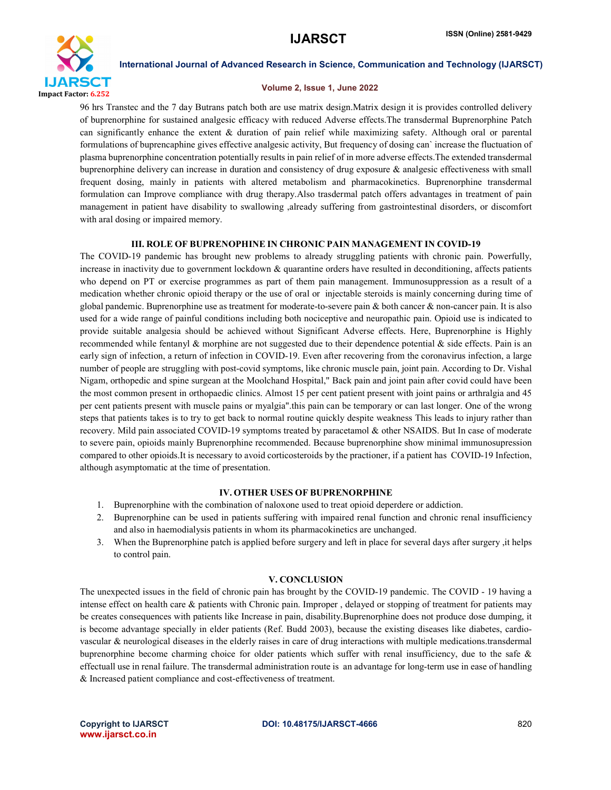

#### Volume 2, Issue 1, June 2022

96 hrs Transtec and the 7 day Butrans patch both are use matrix design.Matrix design it is provides controlled delivery of buprenorphine for sustained analgesic efficacy with reduced Adverse effects.The transdermal Buprenorphine Patch can significantly enhance the extent & duration of pain relief while maximizing safety. Although oral or parental formulations of buprencaphine gives effective analgesic activity, But frequency of dosing can` increase the fluctuation of plasma buprenorphine concentration potentially results in pain relief of in more adverse effects.The extended transdermal buprenorphine delivery can increase in duration and consistency of drug exposure & analgesic effectiveness with small frequent dosing, mainly in patients with altered metabolism and pharmacokinetics. Buprenorphine transdermal formulation can Improve compliance with drug therapy.Also trasdermal patch offers advantages in treatment of pain management in patient have disability to swallowing ,already suffering from gastrointestinal disorders, or discomfort with aral dosing or impaired memory.

### ІІІ. ROLE OF BUPRENOPHINE IN CHRONIC PAIN MANAGEMENT IN COVID-19

The COVID-19 pandemic has brought new problems to already struggling patients with chronic pain. Powerfully, increase in inactivity due to government lockdown & quarantine orders have resulted in deconditioning, affects patients who depend on PT or exercise programmes as part of them pain management. Immunosuppression as a result of a medication whether chronic opioid therapy or the use of oral or injectable steroids is mainly concerning during time of global pandemic. Buprenorphine use as treatment for moderate-to-severe pain  $\&$  both cancer  $\&$  non-cancer pain. It is also used for a wide range of painful conditions including both nociceptive and neuropathic pain. Opioid use is indicated to provide suitable analgesia should be achieved without Significant Adverse effects. Here, Buprenorphine is Highly recommended while fentanyl  $\&$  morphine are not suggested due to their dependence potential  $\&$  side effects. Pain is an early sign of infection, a return of infection in COVID-19. Even after recovering from the coronavirus infection, a large number of people are struggling with post-covid symptoms, like chronic muscle pain, joint pain. According to Dr. Vishal Nigam, orthopedic and spine surgean at the Moolchand Hospital," Back pain and joint pain after covid could have been the most common present in orthopaedic clinics. Almost 15 per cent patient present with joint pains or arthralgia and 45 per cent patients present with muscle pains or myalgia".this pain can be temporary or can last longer. One of the wrong steps that patients takes is to try to get back to normal routine quickly despite weakness This leads to injury rather than recovery. Mild pain associated COVID-19 symptoms treated by paracetamol & other NSAIDS. But In case of moderate to severe pain, opioids mainly Buprenorphine recommended. Because buprenorphine show minimal immunosupression compared to other opioids.It is necessary to avoid corticosteroids by the practioner, if a patient has COVID-19 Infection, although asymptomatic at the time of presentation.

# IV. OTHER USES OF BUPRENORPHINE

- 1. Buprenorphine with the combination of naloxone used to treat opioid deperdere or addiction.
- 2. Buprenorphine can be used in patients suffering with impaired renal function and chronic renal insufficiency and also in haemodialysis patients in whom its pharmacokinetics are unchanged.
- 3. When the Buprenorphine patch is applied before surgery and left in place for several days after surgery ,it helps to control pain.

#### V. CONCLUSION

The unexpected issues in the field of chronic pain has brought by the COVID-19 pandemic. The COVID - 19 having a intense effect on health care & patients with Chronic pain. Improper , delayed or stopping of treatment for patients may be creates consequences with patients like Increase in pain, disability.Buprenorphine does not produce dose dumping, it is become advantage specially in elder patients (Ref. Budd 2003), because the existing diseases like diabetes, cardiovascular & neurological diseases in the elderly raises in care of drug interactions with multiple medications.transdermal buprenorphine become charming choice for older patients which suffer with renal insufficiency, due to the safe  $\&$ effectuall use in renal failure. The transdermal administration route is an advantage for long-term use in ease of handling & Increased patient compliance and cost-effectiveness of treatment.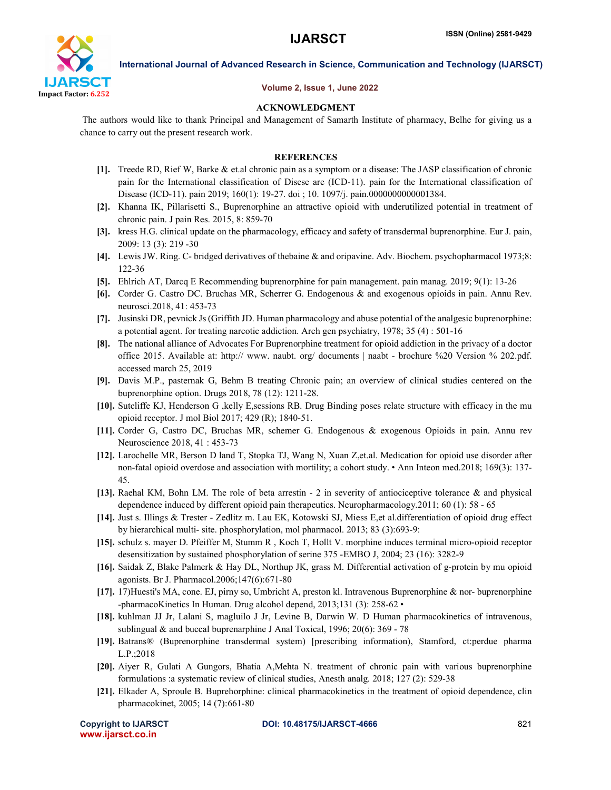

#### Volume 2, Issue 1, June 2022

### ACKNOWLEDGMENT

The authors would like to thank Principal and Management of Samarth Institute of pharmacy, Belhe for giving us a chance to carry out the present research work.

#### **REFERENCES**

- [1]. Treede RD, Rief W, Barke & et.al chronic pain as a symptom or a disease: The JASP classification of chronic pain for the International classification of Disese are (ICD-11). pain for the International classification of Disease (ICD-11). pain 2019; 160(1): 19-27. doi ; 10. 1097/j. pain.0000000000001384.
- [2]. Khanna IK, Pillarisetti S., Buprenorphine an attractive opioid with underutilized potential in treatment of chronic pain. J pain Res. 2015, 8: 859-70
- [3]. kress H.G. clinical update on the pharmacology, efficacy and safety of transdermal buprenorphine. Eur J. pain, 2009: 13 (3): 219 -30
- [4]. Lewis JW. Ring. C- bridged derivatives of thebaine & and oripavine. Adv. Biochem. psychopharmacol 1973;8: 122-36
- [5]. Ehlrich AT, Darcq E Recommending buprenorphine for pain management. pain manag. 2019; 9(1): 13-26
- [6]. Corder G. Castro DC. Bruchas MR, Scherrer G. Endogenous & and exogenous opioids in pain. Annu Rev. neurosci.2018, 41: 453-73
- [7]. Jusinski DR, pevnick Js (Griffith JD. Human pharmacology and abuse potential of the analgesic buprenorphine: a potential agent. for treating narcotic addiction. Arch gen psychiatry, 1978; 35 (4) : 501-16
- [8]. The national alliance of Advocates For Buprenorphine treatment for opioid addiction in the privacy of a doctor office 2015. Available at: http:// www. naubt. org/ documents | naabt - brochure %20 Version % 202.pdf. accessed march 25, 2019
- [9]. Davis M.P., pasternak G, Behm B treating Chronic pain; an overview of clinical studies centered on the buprenorphine option. Drugs 2018, 78 (12): 1211-28.
- [10]. Sutcliffe KJ, Henderson G ,kelly E,sessions RB. Drug Binding poses relate structure with efficacy in the mu opioid receptor. J mol Biol 2017; 429 (R); 1840-51.
- [11]. Corder G, Castro DC, Bruchas MR, schemer G. Endogenous & exogenous Opioids in pain. Annu rev Neuroscience 2018, 41 : 453-73
- [12]. Larochelle MR, Berson D land T, Stopka TJ, Wang N, Xuan Z,et.al. Medication for opioid use disorder after non-fatal opioid overdose and association with mortility; a cohort study. • Ann Inteon med.2018; 169(3): 137- 45.
- [13]. Raehal KM, Bohn LM. The role of beta arrestin 2 in severity of antiociceptive tolerance & and physical dependence induced by different opioid pain therapeutics. Neuropharmacology.2011; 60 (1): 58 - 65
- [14]. Just s. Illings & Trester Zedlitz m. Lau EK, Kotowski SJ, Miess E,et al.differentiation of opioid drug effect by hierarchical multi- site. phosphorylation, mol pharmacol. 2013; 83 (3):693-9:
- [15]. schulz s. mayer D. Pfeiffer M, Stumm R , Koch T, Hollt V. morphine induces terminal micro-opioid receptor desensitization by sustained phosphorylation of serine 375 -EMBO J, 2004; 23 (16): 3282-9
- [16]. Saidak Z, Blake Palmerk & Hay DL, Northup JK, grass M. Differential activation of g-protein by mu opioid agonists. Br J. Pharmacol.2006;147(6):671-80
- [17]. 17)Huesti's MA, cone. EJ, pirny so, Umbricht A, preston kl. Intravenous Buprenorphine & nor- buprenorphine -pharmacoKinetics In Human. Drug alcohol depend, 2013;131 (3): 258-62 •
- [18]. kuhlman JJ Jr, Lalani S, magluilo J Jr, Levine B, Darwin W. D Human pharmacokinetics of intravenous, sublingual  $\&$  and buccal buprenarphine J Anal Toxical, 1996; 20(6): 369 - 78
- [19]. Batrans® (Buprenorphine transdermal system) [prescribing information), Stamford, ct:perdue pharma L.P.;2018
- [20]. Aiyer R, Gulati A Gungors, Bhatia A,Mehta N. treatment of chronic pain with various buprenorphine formulations :a systematic review of clinical studies, Anesth analg. 2018; 127 (2): 529-38
- [21]. Elkader A, Sproule B. Buprehorphine: clinical pharmacokinetics in the treatment of opioid dependence, clin pharmacokinet, 2005; 14 (7):661-80